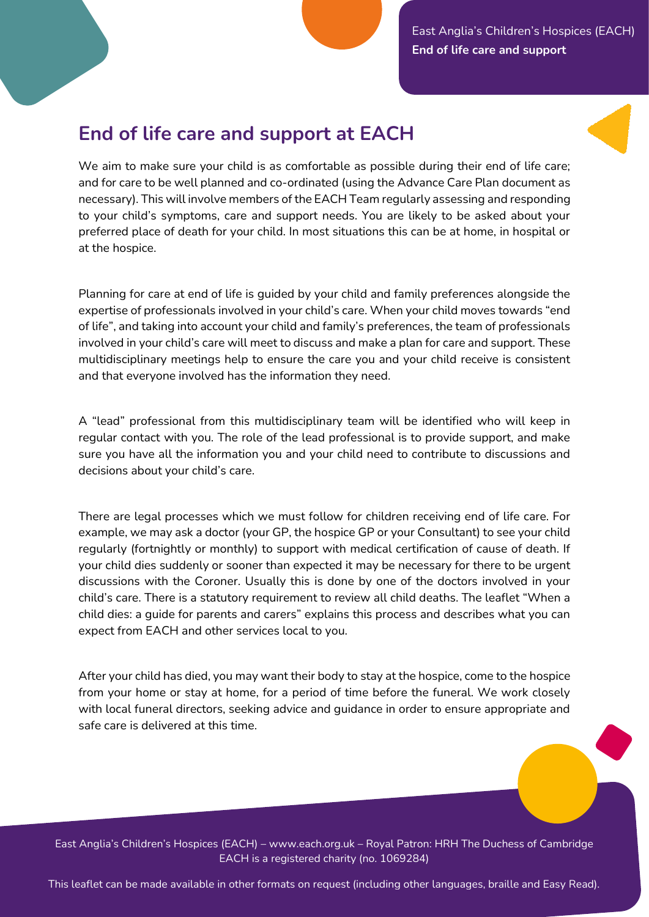East Anglia's Children's Hospices (EACH) **End of life care and support** 

## **End of life care and support at EACH**

We aim to make sure your child is as comfortable as possible during their end of life care; and for care to be well planned and co-ordinated (using the Advance Care Plan document as necessary). This will involve members of the EACH Team regularly assessing and responding to your child's symptoms, care and support needs. You are likely to be asked about your preferred place of death for your child. In most situations this can be at home, in hospital or at the hospice.

Planning for care at end of life is guided by your child and family preferences alongside the expertise of professionals involved in your child's care. When your child moves towards "end of life", and taking into account your child and family's preferences, the team of professionals involved in your child's care will meet to discuss and make a plan for care and support. These multidisciplinary meetings help to ensure the care you and your child receive is consistent and that everyone involved has the information they need.

A "lead" professional from this multidisciplinary team will be identified who will keep in regular contact with you. The role of the lead professional is to provide support, and make sure you have all the information you and your child need to contribute to discussions and decisions about your child's care.

There are legal processes which we must follow for children receiving end of life care. For example, we may ask a doctor (your GP, the hospice GP or your Consultant) to see your child regularly (fortnightly or monthly) to support with medical certification of cause of death. If your child dies suddenly or sooner than expected it may be necessary for there to be urgent discussions with the Coroner. Usually this is done by one of the doctors involved in your child's care. There is a statutory requirement to review all child deaths. The leaflet "When a child dies: a guide for parents and carers" explains this process and describes what you can expect from EACH and other services local to you.

After your child has died, you may want their body to stay at the hospice, come to the hospice from your home or stay at home, for a period of time before the funeral. We work closely with local funeral directors, seeking advice and guidance in order to ensure appropriate and safe care is delivered at this time.

East Anglia's Children's Hospices (EACH) – www.each.org.uk – Royal Patron: HRH The Duchess of Cambridge EACH is a registered charity (no. 1069284)

This leaflet can be made available in other formats on request (including other languages, braille and Easy Read).